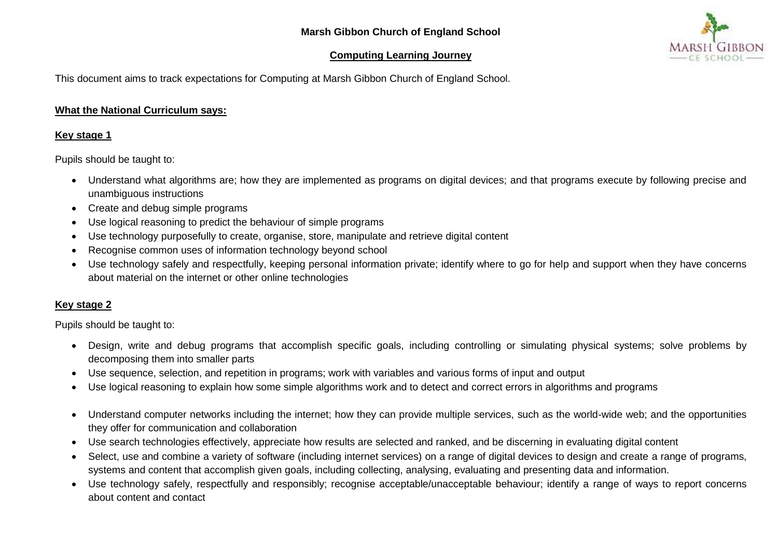## **Computing Learning Journey**



This document aims to track expectations for Computing at Marsh Gibbon Church of England School.

## **What the National Curriculum says:**

## **Key stage 1**

Pupils should be taught to:

- Understand what algorithms are; how they are implemented as programs on digital devices; and that programs execute by following precise and unambiguous instructions
- Create and debug simple programs
- Use logical reasoning to predict the behaviour of simple programs
- Use technology purposefully to create, organise, store, manipulate and retrieve digital content
- Recognise common uses of information technology beyond school
- Use technology safely and respectfully, keeping personal information private; identify where to go for help and support when they have concerns about material on the internet or other online technologies

## **Key stage 2**

Pupils should be taught to:

- Design, write and debug programs that accomplish specific goals, including controlling or simulating physical systems; solve problems by decomposing them into smaller parts
- Use sequence, selection, and repetition in programs; work with variables and various forms of input and output
- Use logical reasoning to explain how some simple algorithms work and to detect and correct errors in algorithms and programs
- Understand computer networks including the internet; how they can provide multiple services, such as the world-wide web; and the opportunities they offer for communication and collaboration
- Use search technologies effectively, appreciate how results are selected and ranked, and be discerning in evaluating digital content
- Select, use and combine a variety of software (including internet services) on a range of digital devices to design and create a range of programs, systems and content that accomplish given goals, including collecting, analysing, evaluating and presenting data and information.
- Use technology safely, respectfully and responsibly; recognise acceptable/unacceptable behaviour; identify a range of ways to report concerns about content and contact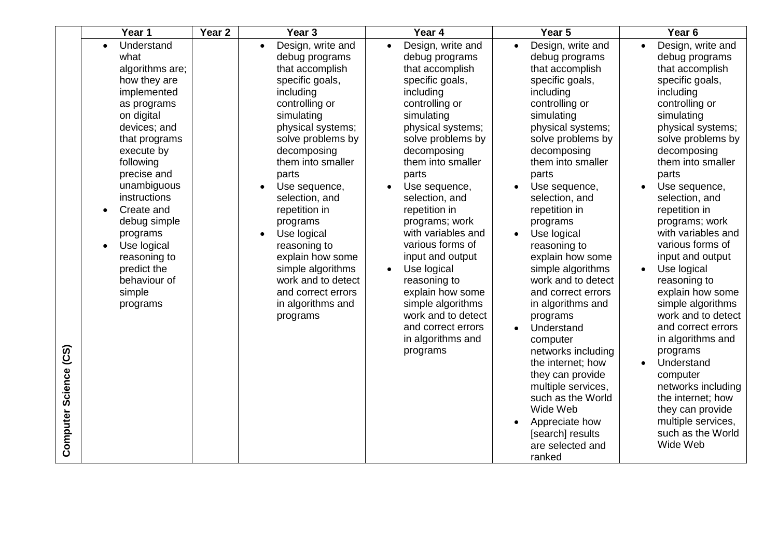| Year 1                                                                                                                                                                                                                                                                                                                                                                                          | Year <sub>2</sub><br>Year <sub>3</sub>                                                                                                                                                                                                                                                                                                                                                                                                                                    | Year 4                                                                                                                                                                                                                                                                                                                                                                                                                                                                                                                           | Year 5                                                                                                                                                                                                                                                                                                                                                                                                                                                                                                                                                                                                                                                                                                     | Year <sub>6</sub>                                                                                                                                                                                                                                                                                                                                                                                                                                                                                                                                                                                                                                                   |
|-------------------------------------------------------------------------------------------------------------------------------------------------------------------------------------------------------------------------------------------------------------------------------------------------------------------------------------------------------------------------------------------------|---------------------------------------------------------------------------------------------------------------------------------------------------------------------------------------------------------------------------------------------------------------------------------------------------------------------------------------------------------------------------------------------------------------------------------------------------------------------------|----------------------------------------------------------------------------------------------------------------------------------------------------------------------------------------------------------------------------------------------------------------------------------------------------------------------------------------------------------------------------------------------------------------------------------------------------------------------------------------------------------------------------------|------------------------------------------------------------------------------------------------------------------------------------------------------------------------------------------------------------------------------------------------------------------------------------------------------------------------------------------------------------------------------------------------------------------------------------------------------------------------------------------------------------------------------------------------------------------------------------------------------------------------------------------------------------------------------------------------------------|---------------------------------------------------------------------------------------------------------------------------------------------------------------------------------------------------------------------------------------------------------------------------------------------------------------------------------------------------------------------------------------------------------------------------------------------------------------------------------------------------------------------------------------------------------------------------------------------------------------------------------------------------------------------|
| Understand<br>$\bullet$<br>what<br>algorithms are;<br>how they are<br>implemented<br>as programs<br>on digital<br>devices; and<br>that programs<br>execute by<br>following<br>precise and<br>unambiguous<br>instructions<br>Create and<br>debug simple<br>programs<br>Use logical<br>$\bullet$<br>reasoning to<br>predict the<br>behaviour of<br>simple<br>programs<br>Science (CS)<br>Computer | Design, write and<br>$\bullet$<br>debug programs<br>that accomplish<br>specific goals,<br>including<br>controlling or<br>simulating<br>physical systems;<br>solve problems by<br>decomposing<br>them into smaller<br>parts<br>Use sequence,<br>$\bullet$<br>selection, and<br>repetition in<br>programs<br>Use logical<br>$\bullet$<br>reasoning to<br>explain how some<br>simple algorithms<br>work and to detect<br>and correct errors<br>in algorithms and<br>programs | Design, write and<br>$\bullet$<br>debug programs<br>that accomplish<br>specific goals,<br>including<br>controlling or<br>simulating<br>physical systems;<br>solve problems by<br>decomposing<br>them into smaller<br>parts<br>Use sequence,<br>selection, and<br>repetition in<br>programs; work<br>with variables and<br>various forms of<br>input and output<br>Use logical<br>$\bullet$<br>reasoning to<br>explain how some<br>simple algorithms<br>work and to detect<br>and correct errors<br>in algorithms and<br>programs | Design, write and<br>$\bullet$<br>debug programs<br>that accomplish<br>specific goals,<br>including<br>controlling or<br>simulating<br>physical systems;<br>solve problems by<br>decomposing<br>them into smaller<br>parts<br>Use sequence,<br>$\bullet$<br>selection, and<br>repetition in<br>programs<br>Use logical<br>$\bullet$<br>reasoning to<br>explain how some<br>simple algorithms<br>work and to detect<br>and correct errors<br>in algorithms and<br>programs<br>Understand<br>$\bullet$<br>computer<br>networks including<br>the internet; how<br>they can provide<br>multiple services,<br>such as the World<br>Wide Web<br>Appreciate how<br>[search] results<br>are selected and<br>ranked | Design, write and<br>$\bullet$<br>debug programs<br>that accomplish<br>specific goals,<br>including<br>controlling or<br>simulating<br>physical systems;<br>solve problems by<br>decomposing<br>them into smaller<br>parts<br>Use sequence,<br>selection, and<br>repetition in<br>programs; work<br>with variables and<br>various forms of<br>input and output<br>Use logical<br>reasoning to<br>explain how some<br>simple algorithms<br>work and to detect<br>and correct errors<br>in algorithms and<br>programs<br>Understand<br>computer<br>networks including<br>the internet; how<br>they can provide<br>multiple services,<br>such as the World<br>Wide Web |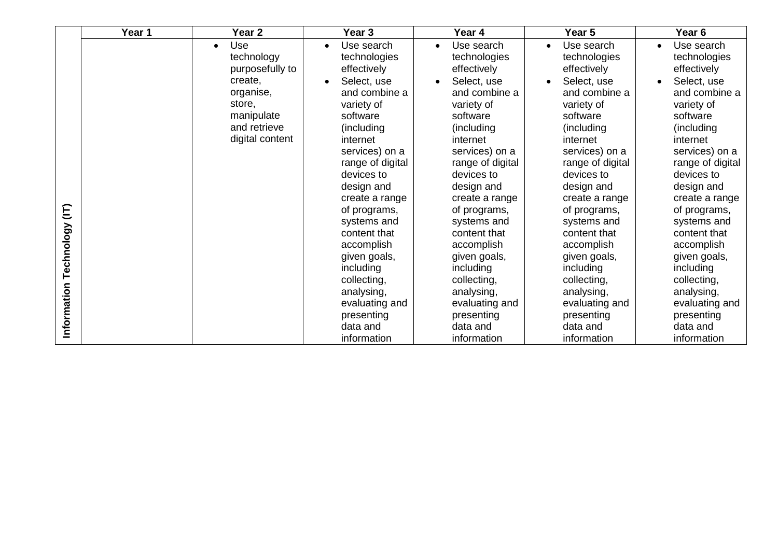|                                             | Year 1 | Year <sub>2</sub>                                                                                                       | Year <sub>3</sub>                                                                                                                                                                                                                                                                                                                                                                                    | Year 4                                                                                                                                                                                                                                                                                                                                                                                               | Year 5                                                                                                                                                                                                                                                                                                                                                                                              | Year <sub>6</sub>                                                                                                                                                                                                                                                                                                                                                                                   |
|---------------------------------------------|--------|-------------------------------------------------------------------------------------------------------------------------|------------------------------------------------------------------------------------------------------------------------------------------------------------------------------------------------------------------------------------------------------------------------------------------------------------------------------------------------------------------------------------------------------|------------------------------------------------------------------------------------------------------------------------------------------------------------------------------------------------------------------------------------------------------------------------------------------------------------------------------------------------------------------------------------------------------|-----------------------------------------------------------------------------------------------------------------------------------------------------------------------------------------------------------------------------------------------------------------------------------------------------------------------------------------------------------------------------------------------------|-----------------------------------------------------------------------------------------------------------------------------------------------------------------------------------------------------------------------------------------------------------------------------------------------------------------------------------------------------------------------------------------------------|
| $\overline{E}$<br>Technology<br>Information |        | Use<br>technology<br>purposefully to<br>create,<br>organise,<br>store,<br>manipulate<br>and retrieve<br>digital content | Use search<br>technologies<br>effectively<br>Select, use<br>and combine a<br>variety of<br>software<br>(including)<br>internet<br>services) on a<br>range of digital<br>devices to<br>design and<br>create a range<br>of programs,<br>systems and<br>content that<br>accomplish<br>given goals,<br>including<br>collecting,<br>analysing,<br>evaluating and<br>presenting<br>data and<br>information | Use search<br>technologies<br>effectively<br>Select, use<br>and combine a<br>variety of<br>software<br>(including)<br>internet<br>services) on a<br>range of digital<br>devices to<br>design and<br>create a range<br>of programs,<br>systems and<br>content that<br>accomplish<br>given goals,<br>including<br>collecting,<br>analysing,<br>evaluating and<br>presenting<br>data and<br>information | Use search<br>technologies<br>effectively<br>Select, use<br>and combine a<br>variety of<br>software<br>(including<br>internet<br>services) on a<br>range of digital<br>devices to<br>design and<br>create a range<br>of programs,<br>systems and<br>content that<br>accomplish<br>given goals,<br>including<br>collecting,<br>analysing,<br>evaluating and<br>presenting<br>data and<br>information | Use search<br>technologies<br>effectively<br>Select, use<br>and combine a<br>variety of<br>software<br>(including<br>internet<br>services) on a<br>range of digital<br>devices to<br>design and<br>create a range<br>of programs,<br>systems and<br>content that<br>accomplish<br>given goals,<br>including<br>collecting,<br>analysing,<br>evaluating and<br>presenting<br>data and<br>information |